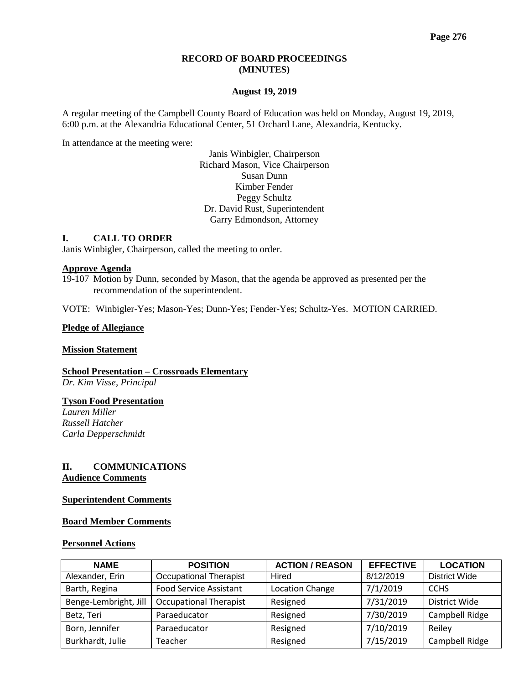#### **RECORD OF BOARD PROCEEDINGS (MINUTES)**

#### **August 19, 2019**

A regular meeting of the Campbell County Board of Education was held on Monday, August 19, 2019, 6:00 p.m. at the Alexandria Educational Center, 51 Orchard Lane, Alexandria, Kentucky.

In attendance at the meeting were:

Janis Winbigler, Chairperson Richard Mason, Vice Chairperson Susan Dunn Kimber Fender Peggy Schultz Dr. David Rust, Superintendent Garry Edmondson, Attorney

#### **I. CALL TO ORDER**

Janis Winbigler, Chairperson, called the meeting to order.

#### **Approve Agenda**

19-107 Motion by Dunn, seconded by Mason, that the agenda be approved as presented per the recommendation of the superintendent.

VOTE: Winbigler-Yes; Mason-Yes; Dunn-Yes; Fender-Yes; Schultz-Yes. MOTION CARRIED.

#### **Pledge of Allegiance**

#### **Mission Statement**

**School Presentation – Crossroads Elementary** *Dr. Kim Visse, Principal* 

#### **Tyson Food Presentation**

*Lauren Miller Russell Hatcher Carla Depperschmidt*

#### **II. COMMUNICATIONS Audience Comments**

#### **Superintendent Comments**

#### **Board Member Comments**

#### **Personnel Actions**

| <b>NAME</b>           | <b>POSITION</b>               | <b>ACTION / REASON</b> | <b>EFFECTIVE</b> | <b>LOCATION</b> |
|-----------------------|-------------------------------|------------------------|------------------|-----------------|
| Alexander, Erin       | <b>Occupational Therapist</b> | Hired                  | 8/12/2019        | District Wide   |
| Barth, Regina         | <b>Food Service Assistant</b> | <b>Location Change</b> |                  |                 |
| Benge-Lembright, Jill | <b>Occupational Therapist</b> | Resigned               | 7/31/2019        | District Wide   |
| Betz, Teri            | Paraeducator                  | Resigned               | 7/30/2019        | Campbell Ridge  |
| Born, Jennifer        | Paraeducator                  | Resigned               | 7/10/2019        | Reiley          |
| Burkhardt, Julie      | Teacher                       | Resigned               | 7/15/2019        | Campbell Ridge  |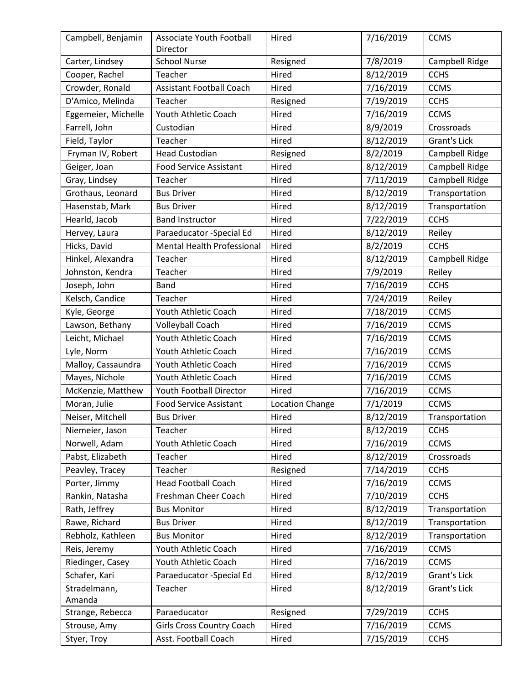| Campbell, Benjamin  | Associate Youth Football<br>Director                  | 7/16/2019<br>Hired<br><b>CCMS</b> |                            |                |
|---------------------|-------------------------------------------------------|-----------------------------------|----------------------------|----------------|
| Carter, Lindsey     | <b>School Nurse</b>                                   | Resigned                          | 7/8/2019<br>Campbell Ridge |                |
| Cooper, Rachel      | Teacher                                               | Hired                             | 8/12/2019                  | <b>CCHS</b>    |
| Crowder, Ronald     | 7/16/2019<br><b>Assistant Football Coach</b><br>Hired |                                   |                            | <b>CCMS</b>    |
| D'Amico, Melinda    | Teacher                                               | Resigned                          | 7/19/2019                  | <b>CCHS</b>    |
| Eggemeier, Michelle | Youth Athletic Coach                                  | Hired                             | 7/16/2019                  | <b>CCMS</b>    |
| Farrell, John       | Custodian                                             | Hired                             | 8/9/2019                   | Crossroads     |
| Field, Taylor       | Teacher                                               | Hired                             | 8/12/2019                  | Grant's Lick   |
| Fryman IV, Robert   | <b>Head Custodian</b>                                 | Resigned                          | 8/2/2019                   | Campbell Ridge |
| Geiger, Joan        | <b>Food Service Assistant</b>                         | Hired                             | 8/12/2019                  | Campbell Ridge |
| Gray, Lindsey       | Teacher                                               | Hired                             | 7/11/2019                  | Campbell Ridge |
| Grothaus, Leonard   | <b>Bus Driver</b>                                     | Hired                             | 8/12/2019                  | Transportation |
| Hasenstab, Mark     | <b>Bus Driver</b>                                     | Hired                             | 8/12/2019                  | Transportation |
| Hearld, Jacob       | <b>Band Instructor</b>                                | Hired                             | 7/22/2019                  | <b>CCHS</b>    |
| Hervey, Laura       | Paraeducator -Special Ed                              | Hired                             | 8/12/2019                  | Reiley         |
| Hicks, David        | <b>Mental Health Professional</b>                     | Hired                             | 8/2/2019                   | <b>CCHS</b>    |
| Hinkel, Alexandra   | Teacher                                               | Hired                             | 8/12/2019                  | Campbell Ridge |
| Johnston, Kendra    | Teacher                                               | Hired                             | 7/9/2019                   | Reiley         |
| Joseph, John        | <b>Band</b>                                           | Hired                             | 7/16/2019                  | <b>CCHS</b>    |
| Kelsch, Candice     | Teacher                                               | Hired                             | 7/24/2019                  | Reiley         |
| Kyle, George        | Youth Athletic Coach                                  | Hired                             | 7/18/2019                  | <b>CCMS</b>    |
| Lawson, Bethany     | Volleyball Coach                                      | Hired                             | 7/16/2019                  | <b>CCMS</b>    |
| Leicht, Michael     | Youth Athletic Coach                                  | Hired                             | 7/16/2019                  | <b>CCMS</b>    |
| Lyle, Norm          | Youth Athletic Coach                                  | Hired                             | 7/16/2019                  | <b>CCMS</b>    |
| Malloy, Cassaundra  | Youth Athletic Coach                                  | Hired                             | 7/16/2019                  | <b>CCMS</b>    |
| Mayes, Nichole      | Youth Athletic Coach                                  | Hired                             | 7/16/2019                  | <b>CCMS</b>    |
| McKenzie, Matthew   | Youth Football Director                               | Hired                             | 7/16/2019                  | <b>CCMS</b>    |
| Moran, Julie        | <b>Food Service Assistant</b>                         | Location Change                   | 7/1/2019                   | <b>CCMS</b>    |
| Neiser, Mitchell    | <b>Bus Driver</b>                                     | Hired                             | 8/12/2019                  | Transportation |
| Niemeier, Jason     | Teacher                                               | Hired                             | 8/12/2019                  | <b>CCHS</b>    |
| Norwell, Adam       | Youth Athletic Coach                                  | Hired                             | 7/16/2019                  | <b>CCMS</b>    |
| Pabst, Elizabeth    | Teacher                                               | Hired                             | 8/12/2019                  | Crossroads     |
| Peavley, Tracey     | Teacher                                               | Resigned                          | 7/14/2019                  | <b>CCHS</b>    |
| Porter, Jimmy       | <b>Head Football Coach</b>                            | Hired                             | 7/16/2019                  | <b>CCMS</b>    |
| Rankin, Natasha     | Freshman Cheer Coach                                  | Hired                             | 7/10/2019                  | <b>CCHS</b>    |
| Rath, Jeffrey       | <b>Bus Monitor</b>                                    | Hired                             | 8/12/2019                  | Transportation |
| Rawe, Richard       | <b>Bus Driver</b>                                     | Hired                             | 8/12/2019                  | Transportation |
| Rebholz, Kathleen   | <b>Bus Monitor</b>                                    | Hired                             | 8/12/2019                  | Transportation |
| Reis, Jeremy        | Youth Athletic Coach                                  | Hired                             | 7/16/2019                  | <b>CCMS</b>    |
| Riedinger, Casey    | 7/16/2019<br>Youth Athletic Coach<br>Hired            |                                   |                            | <b>CCMS</b>    |
| Schafer, Kari       | Paraeducator -Special Ed                              | Hired                             | 8/12/2019                  | Grant's Lick   |
| Stradelmann,        | 8/12/2019<br>Teacher<br>Hired                         |                                   | Grant's Lick               |                |
| Amanda              |                                                       |                                   |                            |                |
| Strange, Rebecca    | Paraeducator                                          | Resigned                          | 7/29/2019                  | <b>CCHS</b>    |
| Strouse, Amy        | Girls Cross Country Coach                             | Hired                             | 7/16/2019                  | <b>CCMS</b>    |
| Styer, Troy         | Asst. Football Coach                                  | Hired                             | 7/15/2019<br><b>CCHS</b>   |                |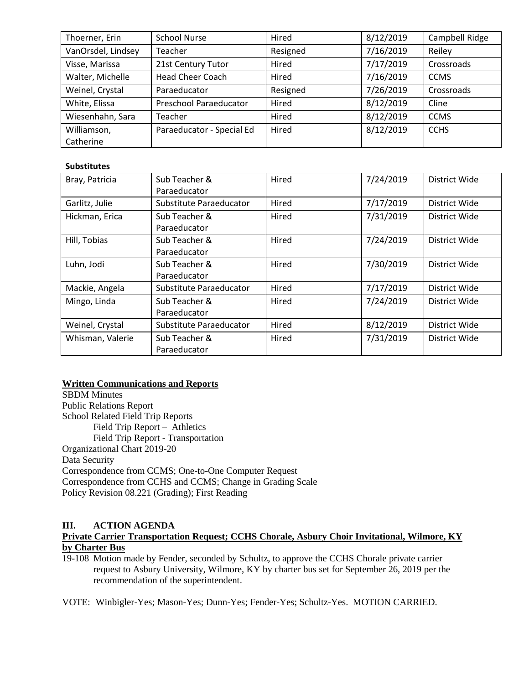| Thoerner, Erin     | <b>School Nurse</b>           | Hired    | 8/12/2019 | Campbell Ridge |
|--------------------|-------------------------------|----------|-----------|----------------|
| VanOrsdel, Lindsey | Teacher                       | Resigned | 7/16/2019 | Reiley         |
| Visse, Marissa     | 21st Century Tutor            | Hired    | 7/17/2019 | Crossroads     |
| Walter, Michelle   | <b>Head Cheer Coach</b>       | Hired    | 7/16/2019 | <b>CCMS</b>    |
| Weinel, Crystal    | Paraeducator                  | Resigned | 7/26/2019 | Crossroads     |
| White, Elissa      | <b>Preschool Paraeducator</b> | Hired    | 8/12/2019 | Cline          |
| Wiesenhahn, Sara   | Teacher                       | Hired    | 8/12/2019 | <b>CCMS</b>    |
| Williamson,        | Paraeducator - Special Ed     | Hired    | 8/12/2019 | <b>CCHS</b>    |
| Catherine          |                               |          |           |                |

### **Substitutes**

| Bray, Patricia   | Sub Teacher &<br>Paraeducator    | Hired<br>7/24/2019 |           | District Wide |
|------------------|----------------------------------|--------------------|-----------|---------------|
| Garlitz, Julie   | Substitute Paraeducator<br>Hired |                    | 7/17/2019 | District Wide |
| Hickman, Erica   | Sub Teacher &<br>Paraeducator    | Hired              | 7/31/2019 | District Wide |
| Hill, Tobias     | Sub Teacher &                    | Hired              | 7/24/2019 | District Wide |
|                  | Paraeducator                     |                    |           |               |
| Luhn, Jodi       | Sub Teacher &                    | Hired              | 7/30/2019 | District Wide |
|                  | Paraeducator                     |                    |           |               |
| Mackie, Angela   | Substitute Paraeducator          | Hired              | 7/17/2019 | District Wide |
| Mingo, Linda     | Sub Teacher &                    | Hired              | 7/24/2019 | District Wide |
|                  | Paraeducator                     |                    |           |               |
| Weinel, Crystal  | Substitute Paraeducator          | 8/12/2019<br>Hired |           | District Wide |
| Whisman, Valerie | Sub Teacher &<br>Paraeducator    | Hired              | 7/31/2019 | District Wide |
|                  |                                  |                    |           |               |

### **Written Communications and Reports**

SBDM Minutes Public Relations Report School Related Field Trip Reports Field Trip Report – Athletics Field Trip Report - Transportation Organizational Chart 2019-20 Data Security Correspondence from CCMS; One-to-One Computer Request Correspondence from CCHS and CCMS; Change in Grading Scale Policy Revision 08.221 (Grading); First Reading

# **III. ACTION AGENDA**

# **Private Carrier Transportation Request; CCHS Chorale, Asbury Choir Invitational, Wilmore, KY by Charter Bus**

19-108 Motion made by Fender, seconded by Schultz, to approve the CCHS Chorale private carrier request to Asbury University, Wilmore, KY by charter bus set for September 26, 2019 per the recommendation of the superintendent.

VOTE: Winbigler-Yes; Mason-Yes; Dunn-Yes; Fender-Yes; Schultz-Yes. MOTION CARRIED.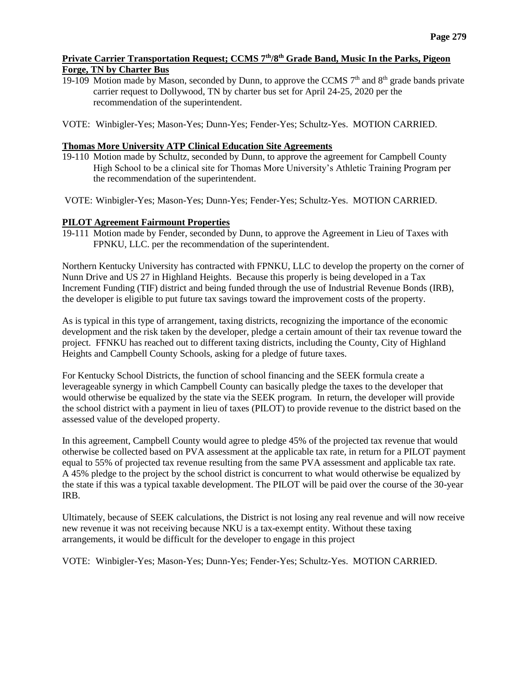## **Private Carrier Transportation Request; CCMS 7th/8th Grade Band, Music In the Parks, Pigeon Forge, TN by Charter Bus**

19-109 Motion made by Mason, seconded by Dunn, to approve the CCMS  $7<sup>th</sup>$  and  $8<sup>th</sup>$  grade bands private carrier request to Dollywood, TN by charter bus set for April 24-25, 2020 per the recommendation of the superintendent.

VOTE: Winbigler-Yes; Mason-Yes; Dunn-Yes; Fender-Yes; Schultz-Yes. MOTION CARRIED.

## **Thomas More University ATP Clinical Education Site Agreements**

19-110 Motion made by Schultz, seconded by Dunn, to approve the agreement for Campbell County High School to be a clinical site for Thomas More University's Athletic Training Program per the recommendation of the superintendent.

VOTE: Winbigler-Yes; Mason-Yes; Dunn-Yes; Fender-Yes; Schultz-Yes. MOTION CARRIED.

## **PILOT Agreement Fairmount Properties**

19-111 Motion made by Fender, seconded by Dunn, to approve the Agreement in Lieu of Taxes with FPNKU, LLC. per the recommendation of the superintendent.

Northern Kentucky University has contracted with FPNKU, LLC to develop the property on the corner of Nunn Drive and US 27 in Highland Heights. Because this properly is being developed in a Tax Increment Funding (TIF) district and being funded through the use of Industrial Revenue Bonds (IRB), the developer is eligible to put future tax savings toward the improvement costs of the property.

As is typical in this type of arrangement, taxing districts, recognizing the importance of the economic development and the risk taken by the developer, pledge a certain amount of their tax revenue toward the project. FFNKU has reached out to different taxing districts, including the County, City of Highland Heights and Campbell County Schools, asking for a pledge of future taxes.

For Kentucky School Districts, the function of school financing and the SEEK formula create a leverageable synergy in which Campbell County can basically pledge the taxes to the developer that would otherwise be equalized by the state via the SEEK program. In return, the developer will provide the school district with a payment in lieu of taxes (PILOT) to provide revenue to the district based on the assessed value of the developed property.

In this agreement, Campbell County would agree to pledge 45% of the projected tax revenue that would otherwise be collected based on PVA assessment at the applicable tax rate, in return for a PILOT payment equal to 55% of projected tax revenue resulting from the same PVA assessment and applicable tax rate. A 45% pledge to the project by the school district is concurrent to what would otherwise be equalized by the state if this was a typical taxable development. The PILOT will be paid over the course of the 30-year IRB.

Ultimately, because of SEEK calculations, the District is not losing any real revenue and will now receive new revenue it was not receiving because NKU is a tax-exempt entity. Without these taxing arrangements, it would be difficult for the developer to engage in this project

VOTE: Winbigler-Yes; Mason-Yes; Dunn-Yes; Fender-Yes; Schultz-Yes. MOTION CARRIED.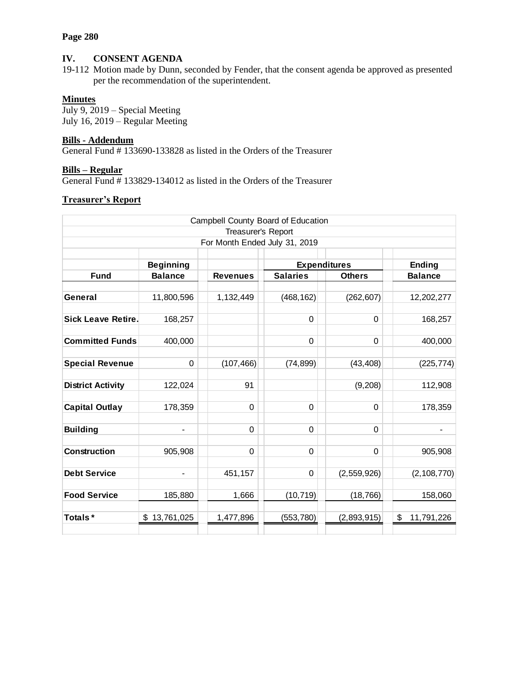### **Page 280**

## **IV. CONSENT AGENDA**

19-112 Motion made by Dunn, seconded by Fender, that the consent agenda be approved as presented per the recommendation of the superintendent.

### **Minutes**

July 9, 2019 – Special Meeting July 16, 2019 – Regular Meeting

## **Bills - Addendum**

General Fund # 133690-133828 as listed in the Orders of the Treasurer

# **Bills – Regular**

General Fund # 133829-134012 as listed in the Orders of the Treasurer

## **Treasurer's Report**

| Campbell County Board of Education |                               |                 |                               |               |                  |  |
|------------------------------------|-------------------------------|-----------------|-------------------------------|---------------|------------------|--|
| Treasurer's Report                 |                               |                 |                               |               |                  |  |
|                                    | For Month Ended July 31, 2019 |                 |                               |               |                  |  |
|                                    | <b>Beginning</b>              |                 | <b>Expenditures</b><br>Ending |               |                  |  |
| <b>Fund</b>                        | <b>Balance</b>                | <b>Revenues</b> | <b>Salaries</b>               | <b>Others</b> | <b>Balance</b>   |  |
|                                    |                               |                 |                               |               |                  |  |
| General                            | 11,800,596                    | 1,132,449       | (468, 162)                    | (262, 607)    | 12,202,277       |  |
|                                    |                               |                 |                               |               |                  |  |
| <b>Sick Leave Retire.</b>          | 168,257                       |                 | $\Omega$                      | $\Omega$      | 168,257          |  |
|                                    |                               |                 |                               |               |                  |  |
| <b>Committed Funds</b>             | 400,000                       |                 | 0                             | $\Omega$      | 400,000          |  |
|                                    |                               |                 |                               |               |                  |  |
| <b>Special Revenue</b>             | 0                             | (107, 466)      | (74, 899)                     | (43, 408)     | (225, 774)       |  |
| <b>District Activity</b>           | 122,024                       | 91              |                               | (9,208)       | 112,908          |  |
|                                    |                               |                 |                               |               |                  |  |
| <b>Capital Outlay</b>              | 178,359                       | $\Omega$        | $\Omega$                      | $\Omega$      | 178,359          |  |
|                                    |                               |                 |                               |               |                  |  |
| <b>Building</b>                    | $\overline{\phantom{0}}$      | $\Omega$        | 0                             | $\Omega$      |                  |  |
|                                    |                               |                 |                               |               |                  |  |
| <b>Construction</b>                | 905,908                       | $\mathbf 0$     | 0                             | $\Omega$      | 905,908          |  |
|                                    |                               |                 |                               |               |                  |  |
| <b>Debt Service</b>                |                               | 451,157         | 0                             | (2,559,926)   | (2, 108, 770)    |  |
|                                    |                               |                 |                               |               |                  |  |
| <b>Food Service</b>                | 185,880                       | 1,666           | (10, 719)                     | (18, 766)     | 158,060          |  |
|                                    |                               |                 |                               |               |                  |  |
| Totals*                            | \$13,761,025                  | 1,477,896       | (553, 780)                    | (2,893,915)   | \$<br>11,791,226 |  |
|                                    |                               |                 |                               |               |                  |  |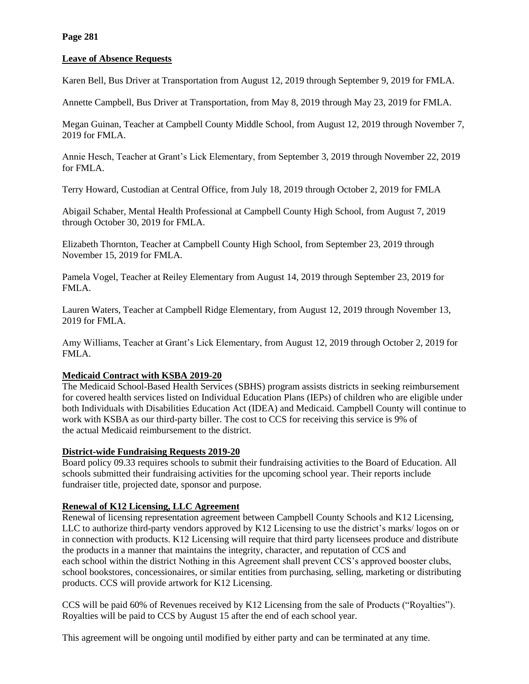### **Leave of Absence Requests**

Karen Bell, Bus Driver at Transportation from August 12, 2019 through September 9, 2019 for FMLA.

Annette Campbell, Bus Driver at Transportation, from May 8, 2019 through May 23, 2019 for FMLA.

Megan Guinan, Teacher at Campbell County Middle School, from August 12, 2019 through November 7, 2019 for FMLA.

Annie Hesch, Teacher at Grant's Lick Elementary, from September 3, 2019 through November 22, 2019 for FMLA.

Terry Howard, Custodian at Central Office, from July 18, 2019 through October 2, 2019 for FMLA

Abigail Schaber, Mental Health Professional at Campbell County High School, from August 7, 2019 through October 30, 2019 for FMLA.

Elizabeth Thornton, Teacher at Campbell County High School, from September 23, 2019 through November 15, 2019 for FMLA.

Pamela Vogel, Teacher at Reiley Elementary from August 14, 2019 through September 23, 2019 for FMLA.

Lauren Waters, Teacher at Campbell Ridge Elementary, from August 12, 2019 through November 13, 2019 for FMLA.

Amy Williams, Teacher at Grant's Lick Elementary, from August 12, 2019 through October 2, 2019 for FMLA.

### **Medicaid Contract with KSBA 2019-20**

The Medicaid School-Based Health Services (SBHS) program assists districts in seeking reimbursement for covered health services listed on Individual Education Plans (IEPs) of children who are eligible under both Individuals with Disabilities Education Act (IDEA) and Medicaid. Campbell County will continue to work with KSBA as our third-party biller. The cost to CCS for receiving this service is 9% of the actual Medicaid reimbursement to the district.

### **District-wide Fundraising Requests 2019-20**

Board policy 09.33 requires schools to submit their fundraising activities to the Board of Education. All schools submitted their fundraising activities for the upcoming school year. Their reports include fundraiser title, projected date, sponsor and purpose.

# **Renewal of K12 Licensing, LLC Agreement**

Renewal of licensing representation agreement between Campbell County Schools and K12 Licensing, LLC to authorize third-party vendors approved by K12 Licensing to use the district's marks/ logos on or in connection with products. K12 Licensing will require that third party licensees produce and distribute the products in a manner that maintains the integrity, character, and reputation of CCS and each school within the district Nothing in this Agreement shall prevent CCS's approved booster clubs, school bookstores, concessionaires, or similar entities from purchasing, selling, marketing or distributing products. CCS will provide artwork for K12 Licensing.

CCS will be paid 60% of Revenues received by K12 Licensing from the sale of Products ("Royalties"). Royalties will be paid to CCS by August 15 after the end of each school year.

This agreement will be ongoing until modified by either party and can be terminated at any time.